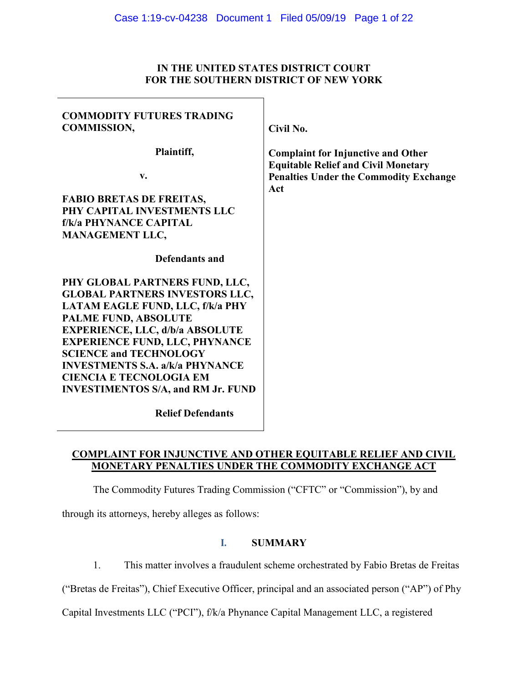# **IN THE UNITED STATES DISTRICT COURT FOR THE SOUTHERN DISTRICT OF NEW YORK**

| <b>COMMODITY FUTURES TRADING</b><br><b>COMMISSION,</b> | Civil No.                                     |
|--------------------------------------------------------|-----------------------------------------------|
| Plaintiff,                                             | <b>Complaint for Injunctive and Other</b>     |
|                                                        | <b>Equitable Relief and Civil Monetary</b>    |
| v.                                                     | <b>Penalties Under the Commodity Exchange</b> |
|                                                        | Act                                           |
| <b>FABIO BRETAS DE FREITAS,</b>                        |                                               |
| PHY CAPITAL INVESTMENTS LLC                            |                                               |
| <b>f/k/a PHYNANCE CAPITAL</b>                          |                                               |
| <b>MANAGEMENT LLC,</b>                                 |                                               |
| Defendants and                                         |                                               |
| PHY GLOBAL PARTNERS FUND, LLC,                         |                                               |
| <b>GLOBAL PARTNERS INVESTORS LLC,</b>                  |                                               |
| LATAM EAGLE FUND, LLC, f/k/a PHY                       |                                               |
| PALME FUND, ABSOLUTE                                   |                                               |
| <b>EXPERIENCE, LLC, d/b/a ABSOLUTE</b>                 |                                               |
| <b>EXPERIENCE FUND, LLC, PHYNANCE</b>                  |                                               |
| <b>SCIENCE and TECHNOLOGY</b>                          |                                               |
| <b>INVESTMENTS S.A. a/k/a PHYNANCE</b>                 |                                               |
| <b>CIENCIA E TECNOLOGIA EM</b>                         |                                               |
| <b>INVESTIMENTOS S/A, and RM Jr. FUND</b>              |                                               |
| <b>Relief Defendants</b>                               |                                               |

# **COMPLAINT FOR INJUNCTIVE AND OTHER EQUITABLE RELIEF AND CIVIL MONETARY PENALTIES UNDER THE COMMODITY EXCHANGE ACT**

The Commodity Futures Trading Commission ("CFTC" or "Commission"), by and

through its attorneys, hereby alleges as follows:

# **I. SUMMARY**

1. This matter involves a fraudulent scheme orchestrated by Fabio Bretas de Freitas

("Bretas de Freitas"), Chief Executive Officer, principal and an associated person ("AP") of Phy

Capital Investments LLC ("PCI"), f/k/a Phynance Capital Management LLC, a registered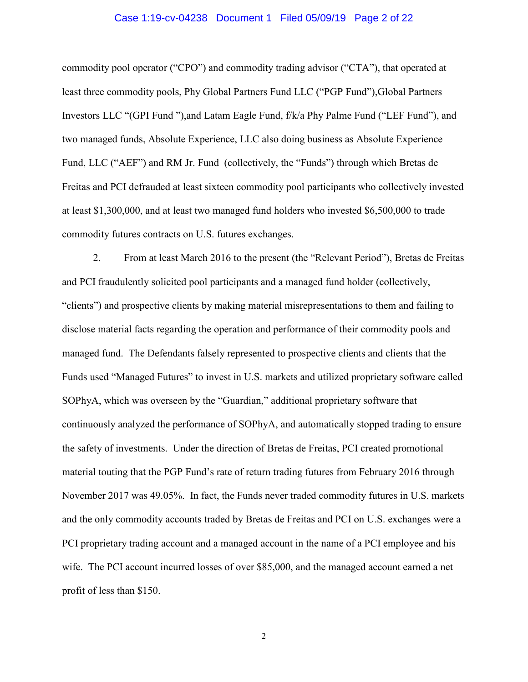#### Case 1:19-cv-04238 Document 1 Filed 05/09/19 Page 2 of 22

commodity pool operator ("CPO") and commodity trading advisor ("CTA"), that operated at least three commodity pools, Phy Global Partners Fund LLC ("PGP Fund"),Global Partners Investors LLC "(GPI Fund "),and Latam Eagle Fund, f/k/a Phy Palme Fund ("LEF Fund"), and two managed funds, Absolute Experience, LLC also doing business as Absolute Experience Fund, LLC ("AEF") and RM Jr. Fund (collectively, the "Funds") through which Bretas de Freitas and PCI defrauded at least sixteen commodity pool participants who collectively invested at least \$1,300,000, and at least two managed fund holders who invested \$6,500,000 to trade commodity futures contracts on U.S. futures exchanges.

2. From at least March 2016 to the present (the "Relevant Period"), Bretas de Freitas and PCI fraudulently solicited pool participants and a managed fund holder (collectively, "clients") and prospective clients by making material misrepresentations to them and failing to disclose material facts regarding the operation and performance of their commodity pools and managed fund. The Defendants falsely represented to prospective clients and clients that the Funds used "Managed Futures" to invest in U.S. markets and utilized proprietary software called SOPhyA, which was overseen by the "Guardian," additional proprietary software that continuously analyzed the performance of SOPhyA, and automatically stopped trading to ensure the safety of investments. Under the direction of Bretas de Freitas, PCI created promotional material touting that the PGP Fund's rate of return trading futures from February 2016 through November 2017 was 49.05%. In fact, the Funds never traded commodity futures in U.S. markets and the only commodity accounts traded by Bretas de Freitas and PCI on U.S. exchanges were a PCI proprietary trading account and a managed account in the name of a PCI employee and his wife. The PCI account incurred losses of over \$85,000, and the managed account earned a net profit of less than \$150.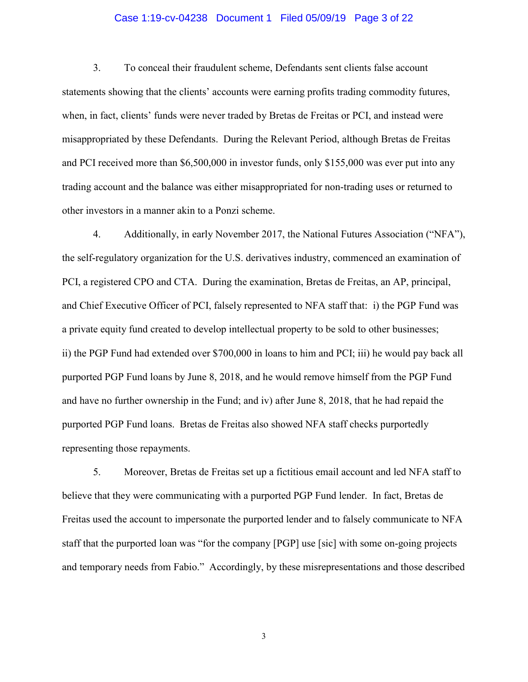#### Case 1:19-cv-04238 Document 1 Filed 05/09/19 Page 3 of 22

3. To conceal their fraudulent scheme, Defendants sent clients false account statements showing that the clients' accounts were earning profits trading commodity futures, when, in fact, clients' funds were never traded by Bretas de Freitas or PCI, and instead were misappropriated by these Defendants. During the Relevant Period, although Bretas de Freitas and PCI received more than \$6,500,000 in investor funds, only \$155,000 was ever put into any trading account and the balance was either misappropriated for non-trading uses or returned to other investors in a manner akin to a Ponzi scheme.

4. Additionally, in early November 2017, the National Futures Association ("NFA"), the self-regulatory organization for the U.S. derivatives industry, commenced an examination of PCI, a registered CPO and CTA. During the examination, Bretas de Freitas, an AP, principal, and Chief Executive Officer of PCI, falsely represented to NFA staff that: i) the PGP Fund was a private equity fund created to develop intellectual property to be sold to other businesses; ii) the PGP Fund had extended over \$700,000 in loans to him and PCI; iii) he would pay back all purported PGP Fund loans by June 8, 2018, and he would remove himself from the PGP Fund and have no further ownership in the Fund; and iv) after June 8, 2018, that he had repaid the purported PGP Fund loans. Bretas de Freitas also showed NFA staff checks purportedly representing those repayments.

5. Moreover, Bretas de Freitas set up a fictitious email account and led NFA staff to believe that they were communicating with a purported PGP Fund lender. In fact, Bretas de Freitas used the account to impersonate the purported lender and to falsely communicate to NFA staff that the purported loan was "for the company [PGP] use [sic] with some on-going projects and temporary needs from Fabio." Accordingly, by these misrepresentations and those described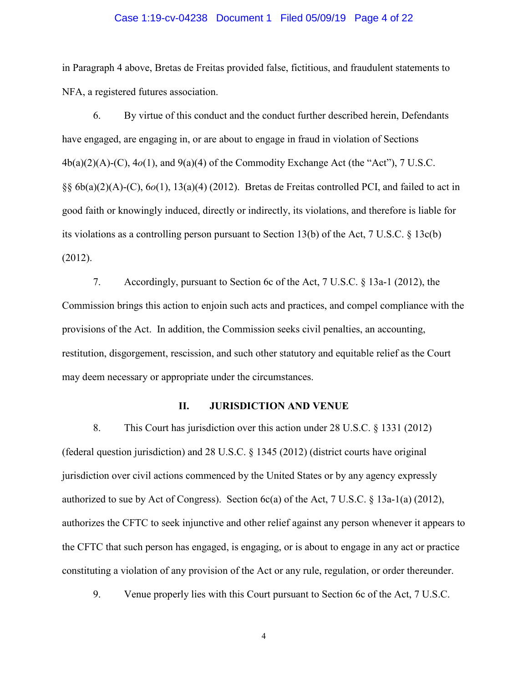#### Case 1:19-cv-04238 Document 1 Filed 05/09/19 Page 4 of 22

in Paragraph 4 above, Bretas de Freitas provided false, fictitious, and fraudulent statements to NFA, a registered futures association.

6. By virtue of this conduct and the conduct further described herein, Defendants have engaged, are engaging in, or are about to engage in fraud in violation of Sections 4b(a)(2)(A)-(C), 4*o*(1), and 9(a)(4) of the Commodity Exchange Act (the "Act"), 7 U.S.C. §§ 6b(a)(2)(A)-(C), 6*o*(1), 13(a)(4) (2012). Bretas de Freitas controlled PCI, and failed to act in good faith or knowingly induced, directly or indirectly, its violations, and therefore is liable for its violations as a controlling person pursuant to Section 13(b) of the Act, 7 U.S.C. § 13c(b) (2012).

7. Accordingly, pursuant to Section 6c of the Act, 7 U.S.C. § 13a-1 (2012), the Commission brings this action to enjoin such acts and practices, and compel compliance with the provisions of the Act. In addition, the Commission seeks civil penalties, an accounting, restitution, disgorgement, rescission, and such other statutory and equitable relief as the Court may deem necessary or appropriate under the circumstances.

#### **II. JURISDICTION AND VENUE**

8. This Court has jurisdiction over this action under 28 U.S.C. § 1331 (2012) (federal question jurisdiction) and 28 U.S.C. § 1345 (2012) (district courts have original jurisdiction over civil actions commenced by the United States or by any agency expressly authorized to sue by Act of Congress). Section 6c(a) of the Act, 7 U.S.C. § 13a-1(a) (2012), authorizes the CFTC to seek injunctive and other relief against any person whenever it appears to the CFTC that such person has engaged, is engaging, or is about to engage in any act or practice constituting a violation of any provision of the Act or any rule, regulation, or order thereunder.

9. Venue properly lies with this Court pursuant to Section 6c of the Act, 7 U.S.C.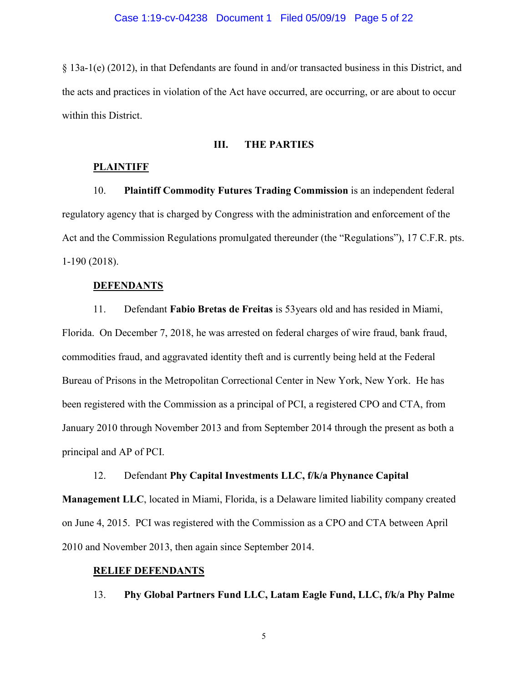§ 13a-1(e) (2012), in that Defendants are found in and/or transacted business in this District, and the acts and practices in violation of the Act have occurred, are occurring, or are about to occur within this District.

## **III. THE PARTIES**

#### **PLAINTIFF**

10. **Plaintiff Commodity Futures Trading Commission** is an independent federal regulatory agency that is charged by Congress with the administration and enforcement of the Act and the Commission Regulations promulgated thereunder (the "Regulations"), 17 C.F.R. pts. 1-190 (2018).

#### **DEFENDANTS**

11. Defendant **Fabio Bretas de Freitas** is 53years old and has resided in Miami, Florida. On December 7, 2018, he was arrested on federal charges of wire fraud, bank fraud, commodities fraud, and aggravated identity theft and is currently being held at the Federal Bureau of Prisons in the Metropolitan Correctional Center in New York, New York. He has been registered with the Commission as a principal of PCI, a registered CPO and CTA, from January 2010 through November 2013 and from September 2014 through the present as both a principal and AP of PCI.

## 12. Defendant **Phy Capital Investments LLC, f/k/a Phynance Capital**

**Management LLC**, located in Miami, Florida, is a Delaware limited liability company created on June 4, 2015. PCI was registered with the Commission as a CPO and CTA between April 2010 and November 2013, then again since September 2014.

## **RELIEF DEFENDANTS**

13. **Phy Global Partners Fund LLC, Latam Eagle Fund, LLC, f/k/a Phy Palme**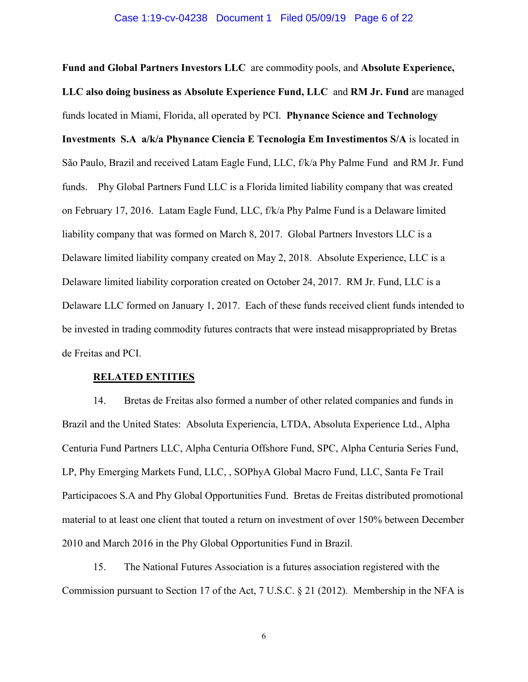#### Case 1:19-cv-04238 Document 1 Filed 05/09/19 Page 6 of 22

**Fund and Global Partners Investors LLC** are commodity pools, and **Absolute Experience, LLC also doing business as Absolute Experience Fund, LLC** and **RM Jr. Fund** are managed funds located in Miami, Florida, all operated by PCI. **Phynance Science and Technology Investments S.A a/k/a Phynance Ciencia E Tecnologia Em Investimentos S/A** is located in São Paulo, Brazil and received Latam Eagle Fund, LLC, f/k/a Phy Palme Fund and RM Jr. Fund funds. Phy Global Partners Fund LLC is a Florida limited liability company that was created on February 17, 2016. Latam Eagle Fund, LLC, f/k/a Phy Palme Fund is a Delaware limited liability company that was formed on March 8, 2017. Global Partners Investors LLC is a Delaware limited liability company created on May 2, 2018. Absolute Experience, LLC is a Delaware limited liability corporation created on October 24, 2017. RM Jr. Fund, LLC is a Delaware LLC formed on January 1, 2017. Each of these funds received client funds intended to be invested in trading commodity futures contracts that were instead misappropriated by Bretas de Freitas and PCI.

#### **RELATED ENTITIES**

14. Bretas de Freitas also formed a number of other related companies and funds in Brazil and the United States: Absoluta Experiencia, LTDA, Absoluta Experience Ltd., Alpha Centuria Fund Partners LLC, Alpha Centuria Offshore Fund, SPC, Alpha Centuria Series Fund, LP, Phy Emerging Markets Fund, LLC, , SOPhyA Global Macro Fund, LLC, Santa Fe Trail Participacoes S.A and Phy Global Opportunities Fund. Bretas de Freitas distributed promotional material to at least one client that touted a return on investment of over 150% between December 2010 and March 2016 in the Phy Global Opportunities Fund in Brazil.

15. The National Futures Association is a futures association registered with the Commission pursuant to Section 17 of the Act, 7 U.S.C. § 21 (2012). Membership in the NFA is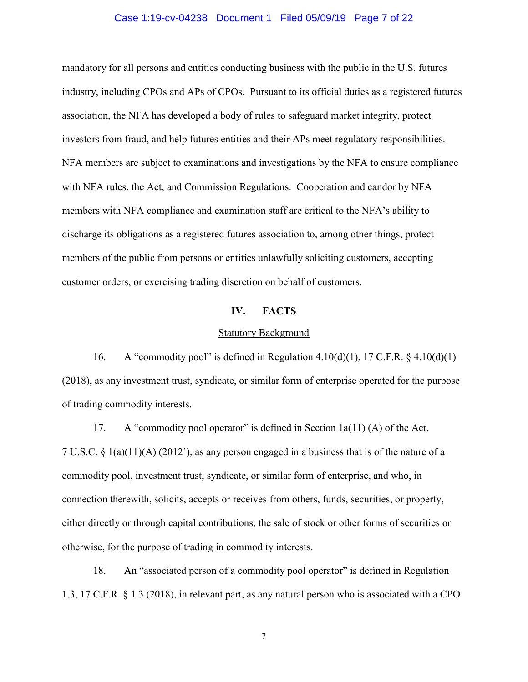#### Case 1:19-cv-04238 Document 1 Filed 05/09/19 Page 7 of 22

mandatory for all persons and entities conducting business with the public in the U.S. futures industry, including CPOs and APs of CPOs. Pursuant to its official duties as a registered futures association, the NFA has developed a body of rules to safeguard market integrity, protect investors from fraud, and help futures entities and their APs meet regulatory responsibilities. NFA members are subject to examinations and investigations by the NFA to ensure compliance with NFA rules, the Act, and Commission Regulations. Cooperation and candor by NFA members with NFA compliance and examination staff are critical to the NFA's ability to discharge its obligations as a registered futures association to, among other things, protect members of the public from persons or entities unlawfully soliciting customers, accepting customer orders, or exercising trading discretion on behalf of customers.

#### **IV. FACTS**

#### Statutory Background

16. A "commodity pool" is defined in Regulation  $4.10(d)(1)$ , 17 C.F.R. §  $4.10(d)(1)$ (2018), as any investment trust, syndicate, or similar form of enterprise operated for the purpose of trading commodity interests.

17. A "commodity pool operator" is defined in Section 1a(11) (A) of the Act, 7 U.S.C.  $\S$  1(a)(11)(A) (2012), as any person engaged in a business that is of the nature of a commodity pool, investment trust, syndicate, or similar form of enterprise, and who, in connection therewith, solicits, accepts or receives from others, funds, securities, or property, either directly or through capital contributions, the sale of stock or other forms of securities or otherwise, for the purpose of trading in commodity interests.

18. An "associated person of a commodity pool operator" is defined in Regulation 1.3, 17 C.F.R. § 1.3 (2018), in relevant part, as any natural person who is associated with a CPO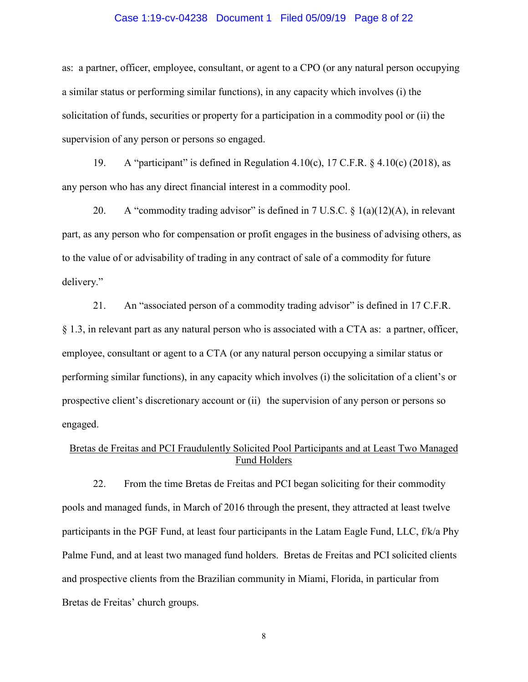#### Case 1:19-cv-04238 Document 1 Filed 05/09/19 Page 8 of 22

as: a partner, officer, employee, consultant, or agent to a CPO (or any natural person occupying a similar status or performing similar functions), in any capacity which involves (i) the solicitation of funds, securities or property for a participation in a commodity pool or (ii) the supervision of any person or persons so engaged.

19. A "participant" is defined in Regulation 4.10(c), 17 C.F.R. § 4.10(c) (2018), as any person who has any direct financial interest in a commodity pool.

20. A "commodity trading advisor" is defined in 7 U.S.C.  $\S$  1(a)(12)(A), in relevant part, as any person who for compensation or profit engages in the business of advising others, as to the value of or advisability of trading in any contract of sale of a commodity for future delivery."

21. An "associated person of a commodity trading advisor" is defined in 17 C.F.R. § 1.3, in relevant part as any natural person who is associated with a CTA as: a partner, officer, employee, consultant or agent to a CTA (or any natural person occupying a similar status or performing similar functions), in any capacity which involves (i) the solicitation of a client's or prospective client's discretionary account or (ii) the supervision of any person or persons so engaged.

# Bretas de Freitas and PCI Fraudulently Solicited Pool Participants and at Least Two Managed Fund Holders

22. From the time Bretas de Freitas and PCI began soliciting for their commodity pools and managed funds, in March of 2016 through the present, they attracted at least twelve participants in the PGF Fund, at least four participants in the Latam Eagle Fund, LLC, f/k/a Phy Palme Fund, and at least two managed fund holders. Bretas de Freitas and PCI solicited clients and prospective clients from the Brazilian community in Miami, Florida, in particular from Bretas de Freitas' church groups.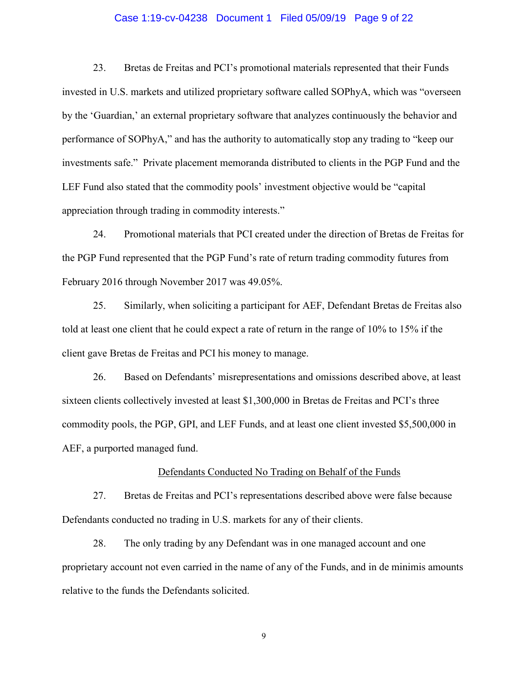#### Case 1:19-cv-04238 Document 1 Filed 05/09/19 Page 9 of 22

23. Bretas de Freitas and PCI's promotional materials represented that their Funds invested in U.S. markets and utilized proprietary software called SOPhyA, which was "overseen by the 'Guardian,' an external proprietary software that analyzes continuously the behavior and performance of SOPhyA," and has the authority to automatically stop any trading to "keep our investments safe." Private placement memoranda distributed to clients in the PGP Fund and the LEF Fund also stated that the commodity pools' investment objective would be "capital appreciation through trading in commodity interests."

24. Promotional materials that PCI created under the direction of Bretas de Freitas for the PGP Fund represented that the PGP Fund's rate of return trading commodity futures from February 2016 through November 2017 was 49.05%.

25. Similarly, when soliciting a participant for AEF, Defendant Bretas de Freitas also told at least one client that he could expect a rate of return in the range of 10% to 15% if the client gave Bretas de Freitas and PCI his money to manage.

26. Based on Defendants' misrepresentations and omissions described above, at least sixteen clients collectively invested at least \$1,300,000 in Bretas de Freitas and PCI's three commodity pools, the PGP, GPI, and LEF Funds, and at least one client invested \$5,500,000 in AEF, a purported managed fund.

#### Defendants Conducted No Trading on Behalf of the Funds

27. Bretas de Freitas and PCI's representations described above were false because Defendants conducted no trading in U.S. markets for any of their clients.

28. The only trading by any Defendant was in one managed account and one proprietary account not even carried in the name of any of the Funds, and in de minimis amounts relative to the funds the Defendants solicited.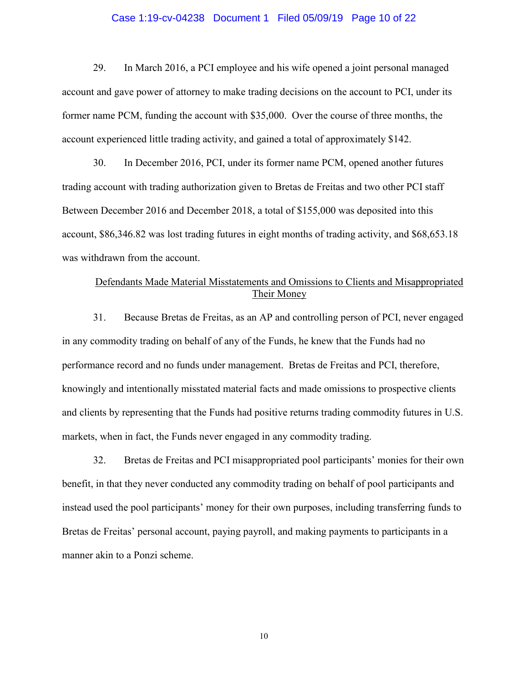#### Case 1:19-cv-04238 Document 1 Filed 05/09/19 Page 10 of 22

29. In March 2016, a PCI employee and his wife opened a joint personal managed account and gave power of attorney to make trading decisions on the account to PCI, under its former name PCM, funding the account with \$35,000. Over the course of three months, the account experienced little trading activity, and gained a total of approximately \$142.

30. In December 2016, PCI, under its former name PCM, opened another futures trading account with trading authorization given to Bretas de Freitas and two other PCI staff Between December 2016 and December 2018, a total of \$155,000 was deposited into this account, \$86,346.82 was lost trading futures in eight months of trading activity, and \$68,653.18 was withdrawn from the account.

# Defendants Made Material Misstatements and Omissions to Clients and Misappropriated Their Money

31. Because Bretas de Freitas, as an AP and controlling person of PCI, never engaged in any commodity trading on behalf of any of the Funds, he knew that the Funds had no performance record and no funds under management. Bretas de Freitas and PCI, therefore, knowingly and intentionally misstated material facts and made omissions to prospective clients and clients by representing that the Funds had positive returns trading commodity futures in U.S. markets, when in fact, the Funds never engaged in any commodity trading.

32. Bretas de Freitas and PCI misappropriated pool participants' monies for their own benefit, in that they never conducted any commodity trading on behalf of pool participants and instead used the pool participants' money for their own purposes, including transferring funds to Bretas de Freitas' personal account, paying payroll, and making payments to participants in a manner akin to a Ponzi scheme.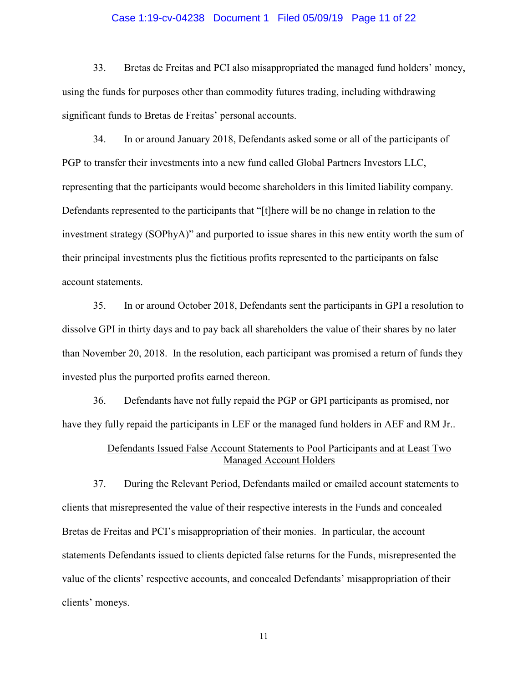#### Case 1:19-cv-04238 Document 1 Filed 05/09/19 Page 11 of 22

33. Bretas de Freitas and PCI also misappropriated the managed fund holders' money, using the funds for purposes other than commodity futures trading, including withdrawing significant funds to Bretas de Freitas' personal accounts.

34. In or around January 2018, Defendants asked some or all of the participants of PGP to transfer their investments into a new fund called Global Partners Investors LLC, representing that the participants would become shareholders in this limited liability company. Defendants represented to the participants that "[t]here will be no change in relation to the investment strategy (SOPhyA)" and purported to issue shares in this new entity worth the sum of their principal investments plus the fictitious profits represented to the participants on false account statements.

35. In or around October 2018, Defendants sent the participants in GPI a resolution to dissolve GPI in thirty days and to pay back all shareholders the value of their shares by no later than November 20, 2018. In the resolution, each participant was promised a return of funds they invested plus the purported profits earned thereon.

36. Defendants have not fully repaid the PGP or GPI participants as promised, nor have they fully repaid the participants in LEF or the managed fund holders in AEF and RM Jr..

# Defendants Issued False Account Statements to Pool Participants and at Least Two Managed Account Holders

37. During the Relevant Period, Defendants mailed or emailed account statements to clients that misrepresented the value of their respective interests in the Funds and concealed Bretas de Freitas and PCI's misappropriation of their monies. In particular, the account statements Defendants issued to clients depicted false returns for the Funds, misrepresented the value of the clients' respective accounts, and concealed Defendants' misappropriation of their clients' moneys.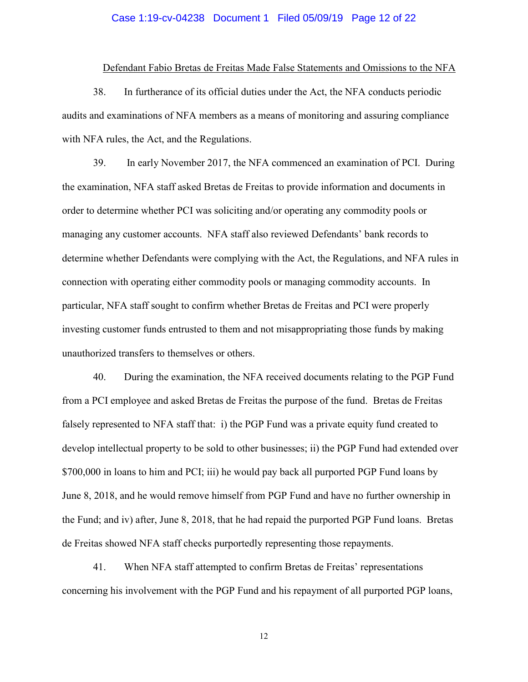#### Case 1:19-cv-04238 Document 1 Filed 05/09/19 Page 12 of 22

#### Defendant Fabio Bretas de Freitas Made False Statements and Omissions to the NFA

38. In furtherance of its official duties under the Act, the NFA conducts periodic audits and examinations of NFA members as a means of monitoring and assuring compliance with NFA rules, the Act, and the Regulations.

39. In early November 2017, the NFA commenced an examination of PCI. During the examination, NFA staff asked Bretas de Freitas to provide information and documents in order to determine whether PCI was soliciting and/or operating any commodity pools or managing any customer accounts. NFA staff also reviewed Defendants' bank records to determine whether Defendants were complying with the Act, the Regulations, and NFA rules in connection with operating either commodity pools or managing commodity accounts. In particular, NFA staff sought to confirm whether Bretas de Freitas and PCI were properly investing customer funds entrusted to them and not misappropriating those funds by making unauthorized transfers to themselves or others.

40. During the examination, the NFA received documents relating to the PGP Fund from a PCI employee and asked Bretas de Freitas the purpose of the fund. Bretas de Freitas falsely represented to NFA staff that: i) the PGP Fund was a private equity fund created to develop intellectual property to be sold to other businesses; ii) the PGP Fund had extended over \$700,000 in loans to him and PCI; iii) he would pay back all purported PGP Fund loans by June 8, 2018, and he would remove himself from PGP Fund and have no further ownership in the Fund; and iv) after, June 8, 2018, that he had repaid the purported PGP Fund loans. Bretas de Freitas showed NFA staff checks purportedly representing those repayments.

41. When NFA staff attempted to confirm Bretas de Freitas' representations concerning his involvement with the PGP Fund and his repayment of all purported PGP loans,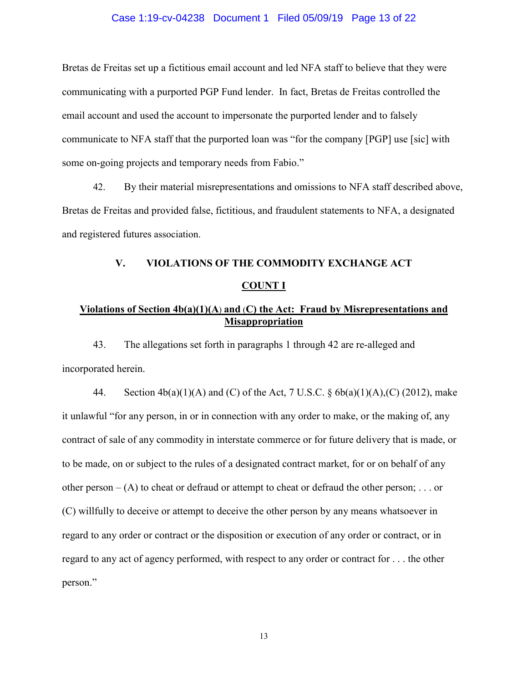#### Case 1:19-cv-04238 Document 1 Filed 05/09/19 Page 13 of 22

Bretas de Freitas set up a fictitious email account and led NFA staff to believe that they were communicating with a purported PGP Fund lender. In fact, Bretas de Freitas controlled the email account and used the account to impersonate the purported lender and to falsely communicate to NFA staff that the purported loan was "for the company [PGP] use [sic] with some on-going projects and temporary needs from Fabio."

42. By their material misrepresentations and omissions to NFA staff described above, Bretas de Freitas and provided false, fictitious, and fraudulent statements to NFA, a designated and registered futures association.

# **V. VIOLATIONS OF THE COMMODITY EXCHANGE ACT COUNT I**

# **Violations of Section 4b(a)(1)(A**) **and** (**C) the Act: Fraud by Misrepresentations and Misappropriation**

43. The allegations set forth in paragraphs 1 through 42 are re-alleged and incorporated herein.

44. Section  $4b(a)(1)(A)$  and (C) of the Act, 7 U.S.C. §  $6b(a)(1)(A)$ , (C) (2012), make it unlawful "for any person, in or in connection with any order to make, or the making of, any contract of sale of any commodity in interstate commerce or for future delivery that is made, or to be made, on or subject to the rules of a designated contract market, for or on behalf of any other person –  $(A)$  to cheat or defraud or attempt to cheat or defraud the other person; ... or (C) willfully to deceive or attempt to deceive the other person by any means whatsoever in regard to any order or contract or the disposition or execution of any order or contract, or in regard to any act of agency performed, with respect to any order or contract for . . . the other person."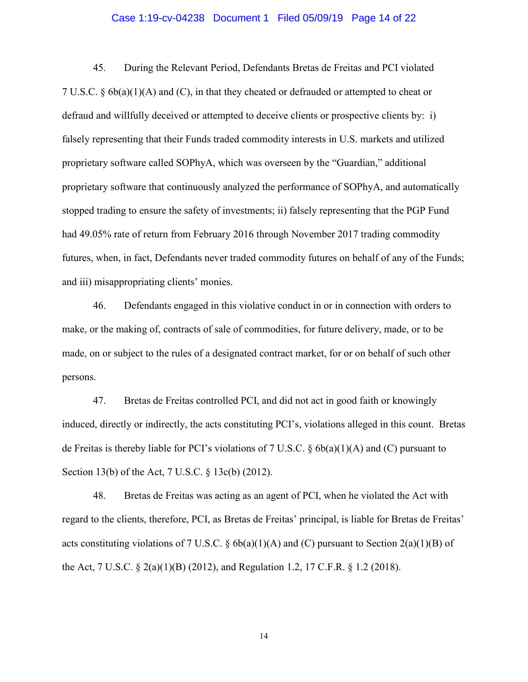#### Case 1:19-cv-04238 Document 1 Filed 05/09/19 Page 14 of 22

45. During the Relevant Period, Defendants Bretas de Freitas and PCI violated 7 U.S.C. § 6b(a)(1)(A) and (C), in that they cheated or defrauded or attempted to cheat or defraud and willfully deceived or attempted to deceive clients or prospective clients by: i) falsely representing that their Funds traded commodity interests in U.S. markets and utilized proprietary software called SOPhyA, which was overseen by the "Guardian," additional proprietary software that continuously analyzed the performance of SOPhyA, and automatically stopped trading to ensure the safety of investments; ii) falsely representing that the PGP Fund had 49.05% rate of return from February 2016 through November 2017 trading commodity futures, when, in fact, Defendants never traded commodity futures on behalf of any of the Funds; and iii) misappropriating clients' monies.

46. Defendants engaged in this violative conduct in or in connection with orders to make, or the making of, contracts of sale of commodities, for future delivery, made, or to be made, on or subject to the rules of a designated contract market, for or on behalf of such other persons.

47. Bretas de Freitas controlled PCI, and did not act in good faith or knowingly induced, directly or indirectly, the acts constituting PCI's, violations alleged in this count. Bretas de Freitas is thereby liable for PCI's violations of 7 U.S.C.  $\S$  6b(a)(1)(A) and (C) pursuant to Section 13(b) of the Act, 7 U.S.C. § 13c(b) (2012).

48. Bretas de Freitas was acting as an agent of PCI, when he violated the Act with regard to the clients, therefore, PCI, as Bretas de Freitas' principal, is liable for Bretas de Freitas' acts constituting violations of 7 U.S.C. § 6b(a)(1)(A) and (C) pursuant to Section 2(a)(1)(B) of the Act, 7 U.S.C. § 2(a)(1)(B) (2012), and Regulation 1.2, 17 C.F.R. § 1.2 (2018).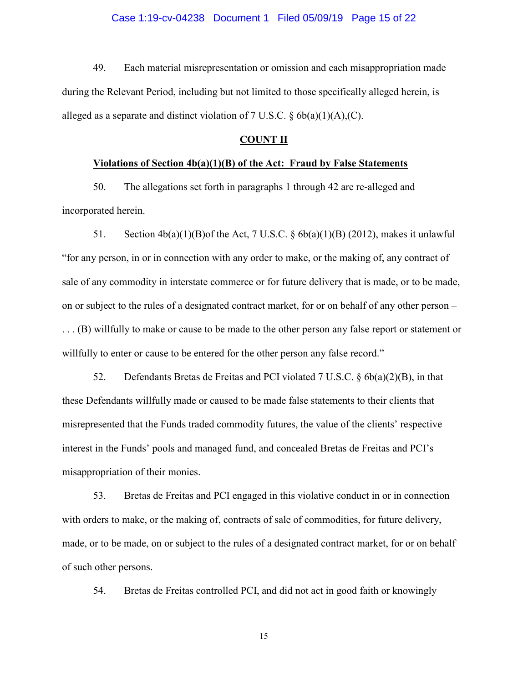#### Case 1:19-cv-04238 Document 1 Filed 05/09/19 Page 15 of 22

49. Each material misrepresentation or omission and each misappropriation made during the Relevant Period, including but not limited to those specifically alleged herein, is alleged as a separate and distinct violation of 7 U.S.C.  $\delta$  6b(a)(1)(A),(C).

## **COUNT II**

## **Violations of Section 4b(a)(1)(B) of the Act: Fraud by False Statements**

50. The allegations set forth in paragraphs 1 through 42 are re-alleged and incorporated herein.

51. Section  $4b(a)(1)(B)$  of the Act, 7 U.S.C. §  $6b(a)(1)(B)$  (2012), makes it unlawful "for any person, in or in connection with any order to make, or the making of, any contract of sale of any commodity in interstate commerce or for future delivery that is made, or to be made, on or subject to the rules of a designated contract market, for or on behalf of any other person – . . . (B) willfully to make or cause to be made to the other person any false report or statement or willfully to enter or cause to be entered for the other person any false record."

52. Defendants Bretas de Freitas and PCI violated 7 U.S.C. § 6b(a)(2)(B), in that these Defendants willfully made or caused to be made false statements to their clients that misrepresented that the Funds traded commodity futures, the value of the clients' respective interest in the Funds' pools and managed fund, and concealed Bretas de Freitas and PCI's misappropriation of their monies.

53. Bretas de Freitas and PCI engaged in this violative conduct in or in connection with orders to make, or the making of, contracts of sale of commodities, for future delivery, made, or to be made, on or subject to the rules of a designated contract market, for or on behalf of such other persons.

54. Bretas de Freitas controlled PCI, and did not act in good faith or knowingly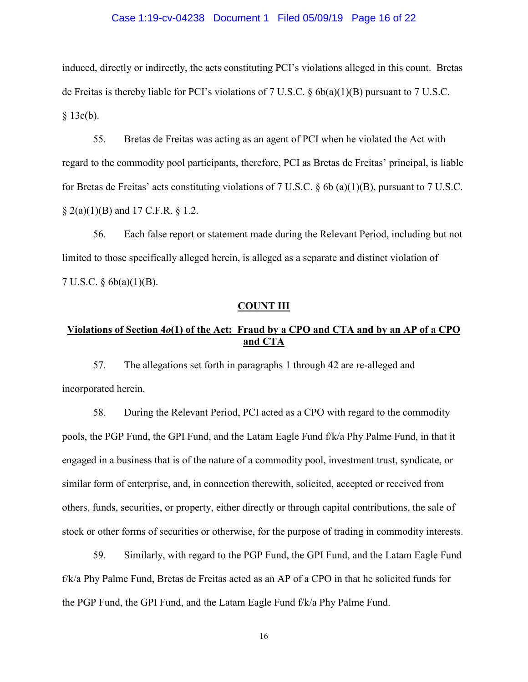#### Case 1:19-cv-04238 Document 1 Filed 05/09/19 Page 16 of 22

induced, directly or indirectly, the acts constituting PCI's violations alleged in this count. Bretas de Freitas is thereby liable for PCI's violations of 7 U.S.C.  $\delta$  6b(a)(1)(B) pursuant to 7 U.S.C.  $§$  13c(b).

55. Bretas de Freitas was acting as an agent of PCI when he violated the Act with regard to the commodity pool participants, therefore, PCI as Bretas de Freitas' principal, is liable for Bretas de Freitas' acts constituting violations of 7 U.S.C. § 6b (a)(1)(B), pursuant to 7 U.S.C.  $\S$  2(a)(1)(B) and 17 C.F.R.  $\S$  1.2.

56. Each false report or statement made during the Relevant Period, including but not limited to those specifically alleged herein, is alleged as a separate and distinct violation of 7 U.S.C. § 6b(a)(1)(B).

#### **COUNT III**

# **Violations of Section 4***o***(1) of the Act: Fraud by a CPO and CTA and by an AP of a CPO and CTA**

57. The allegations set forth in paragraphs 1 through 42 are re-alleged and incorporated herein.

58. During the Relevant Period, PCI acted as a CPO with regard to the commodity pools, the PGP Fund, the GPI Fund, and the Latam Eagle Fund f/k/a Phy Palme Fund, in that it engaged in a business that is of the nature of a commodity pool, investment trust, syndicate, or similar form of enterprise, and, in connection therewith, solicited, accepted or received from others, funds, securities, or property, either directly or through capital contributions, the sale of stock or other forms of securities or otherwise, for the purpose of trading in commodity interests.

59. Similarly, with regard to the PGP Fund, the GPI Fund, and the Latam Eagle Fund f/k/a Phy Palme Fund, Bretas de Freitas acted as an AP of a CPO in that he solicited funds for the PGP Fund, the GPI Fund, and the Latam Eagle Fund f/k/a Phy Palme Fund.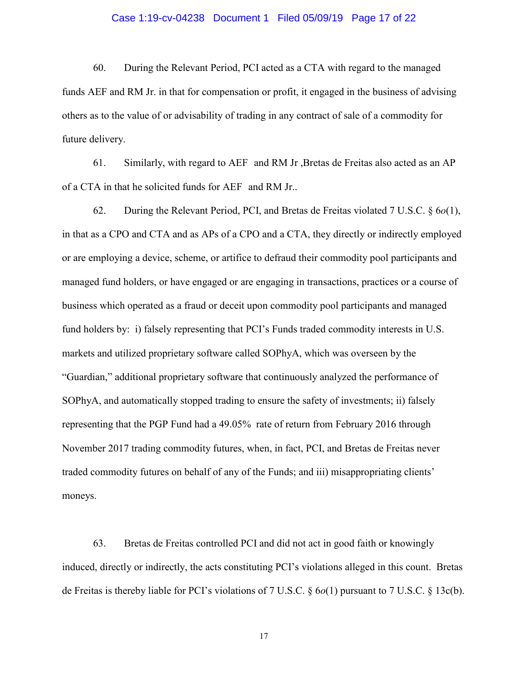#### Case 1:19-cv-04238 Document 1 Filed 05/09/19 Page 17 of 22

60. During the Relevant Period, PCI acted as a CTA with regard to the managed funds AEF and RM Jr. in that for compensation or profit, it engaged in the business of advising others as to the value of or advisability of trading in any contract of sale of a commodity for future delivery.

61. Similarly, with regard to AEF and RM Jr ,Bretas de Freitas also acted as an AP of a CTA in that he solicited funds for AEF and RM Jr..

62. During the Relevant Period, PCI, and Bretas de Freitas violated 7 U.S.C. § 6*o*(1), in that as a CPO and CTA and as APs of a CPO and a CTA, they directly or indirectly employed or are employing a device, scheme, or artifice to defraud their commodity pool participants and managed fund holders, or have engaged or are engaging in transactions, practices or a course of business which operated as a fraud or deceit upon commodity pool participants and managed fund holders by: i) falsely representing that PCI's Funds traded commodity interests in U.S. markets and utilized proprietary software called SOPhyA, which was overseen by the "Guardian," additional proprietary software that continuously analyzed the performance of SOPhyA, and automatically stopped trading to ensure the safety of investments; ii) falsely representing that the PGP Fund had a 49.05% rate of return from February 2016 through November 2017 trading commodity futures, when, in fact, PCI, and Bretas de Freitas never traded commodity futures on behalf of any of the Funds; and iii) misappropriating clients' moneys.

63. Bretas de Freitas controlled PCI and did not act in good faith or knowingly induced, directly or indirectly, the acts constituting PCI's violations alleged in this count. Bretas de Freitas is thereby liable for PCI's violations of 7 U.S.C. § 6*o*(1) pursuant to 7 U.S.C. § 13c(b).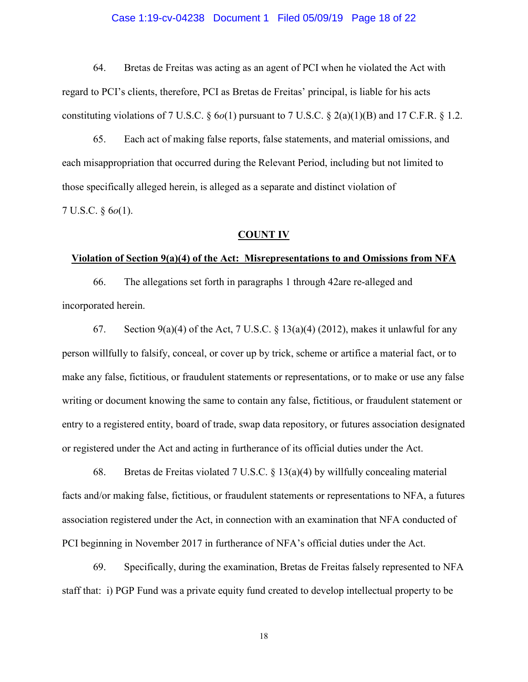#### Case 1:19-cv-04238 Document 1 Filed 05/09/19 Page 18 of 22

64. Bretas de Freitas was acting as an agent of PCI when he violated the Act with regard to PCI's clients, therefore, PCI as Bretas de Freitas' principal, is liable for his acts constituting violations of 7 U.S.C. § 6*o*(1) pursuant to 7 U.S.C. § 2(a)(1)(B) and 17 C.F.R. § 1.2.

65. Each act of making false reports, false statements, and material omissions, and each misappropriation that occurred during the Relevant Period, including but not limited to those specifically alleged herein, is alleged as a separate and distinct violation of 7 U.S.C. § 6*o*(1).

## **COUNT IV**

#### **Violation of Section 9(a)(4) of the Act: Misrepresentations to and Omissions from NFA**

66. The allegations set forth in paragraphs 1 through 42are re-alleged and incorporated herein.

67. Section 9(a)(4) of the Act, 7 U.S.C. § 13(a)(4) (2012), makes it unlawful for any person willfully to falsify, conceal, or cover up by trick, scheme or artifice a material fact, or to make any false, fictitious, or fraudulent statements or representations, or to make or use any false writing or document knowing the same to contain any false, fictitious, or fraudulent statement or entry to a registered entity, board of trade, swap data repository, or futures association designated or registered under the Act and acting in furtherance of its official duties under the Act.

68. Bretas de Freitas violated 7 U.S.C. § 13(a)(4) by willfully concealing material facts and/or making false, fictitious, or fraudulent statements or representations to NFA, a futures association registered under the Act, in connection with an examination that NFA conducted of PCI beginning in November 2017 in furtherance of NFA's official duties under the Act.

69. Specifically, during the examination, Bretas de Freitas falsely represented to NFA staff that: i) PGP Fund was a private equity fund created to develop intellectual property to be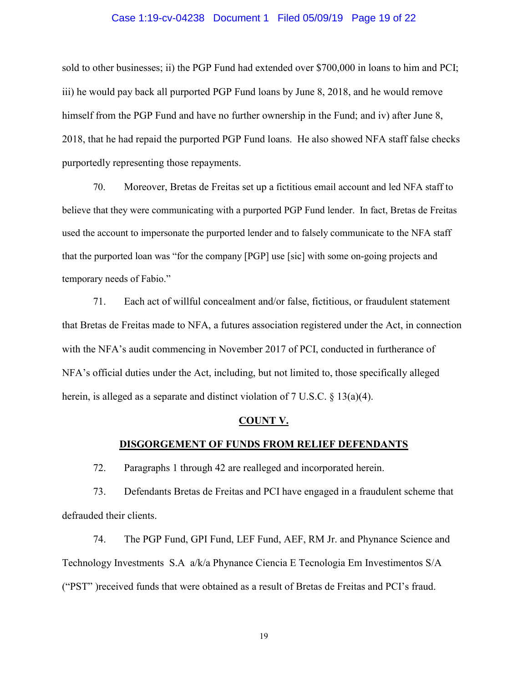#### Case 1:19-cv-04238 Document 1 Filed 05/09/19 Page 19 of 22

sold to other businesses; ii) the PGP Fund had extended over \$700,000 in loans to him and PCI; iii) he would pay back all purported PGP Fund loans by June 8, 2018, and he would remove himself from the PGP Fund and have no further ownership in the Fund; and iv) after June 8, 2018, that he had repaid the purported PGP Fund loans. He also showed NFA staff false checks purportedly representing those repayments.

70. Moreover, Bretas de Freitas set up a fictitious email account and led NFA staff to believe that they were communicating with a purported PGP Fund lender. In fact, Bretas de Freitas used the account to impersonate the purported lender and to falsely communicate to the NFA staff that the purported loan was "for the company [PGP] use [sic] with some on-going projects and temporary needs of Fabio."

71. Each act of willful concealment and/or false, fictitious, or fraudulent statement that Bretas de Freitas made to NFA, a futures association registered under the Act, in connection with the NFA's audit commencing in November 2017 of PCI, conducted in furtherance of NFA's official duties under the Act, including, but not limited to, those specifically alleged herein, is alleged as a separate and distinct violation of 7 U.S.C. § 13(a)(4).

#### **COUNT V.**

#### **DISGORGEMENT OF FUNDS FROM RELIEF DEFENDANTS**

72. Paragraphs 1 through 42 are realleged and incorporated herein.

73. Defendants Bretas de Freitas and PCI have engaged in a fraudulent scheme that defrauded their clients.

74. The PGP Fund, GPI Fund, LEF Fund, AEF, RM Jr. and Phynance Science and Technology Investments S.A a/k/a Phynance Ciencia E Tecnologia Em Investimentos S/A ("PST" )received funds that were obtained as a result of Bretas de Freitas and PCI's fraud.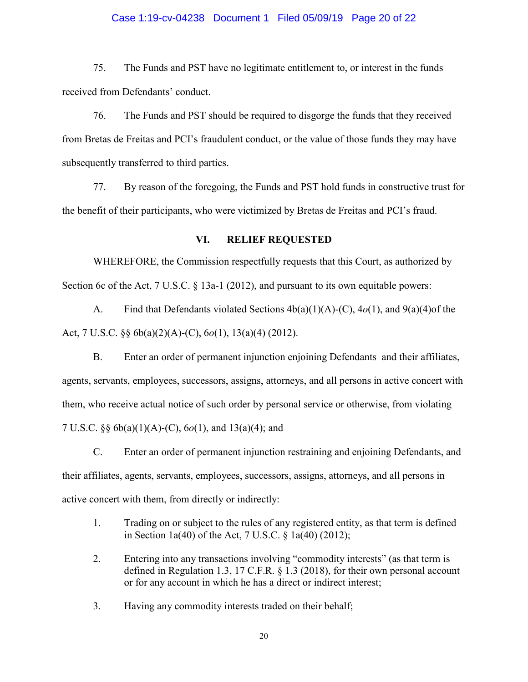#### Case 1:19-cv-04238 Document 1 Filed 05/09/19 Page 20 of 22

75. The Funds and PST have no legitimate entitlement to, or interest in the funds received from Defendants' conduct.

76. The Funds and PST should be required to disgorge the funds that they received from Bretas de Freitas and PCI's fraudulent conduct, or the value of those funds they may have subsequently transferred to third parties.

77. By reason of the foregoing, the Funds and PST hold funds in constructive trust for the benefit of their participants, who were victimized by Bretas de Freitas and PCI's fraud.

## **VI. RELIEF REQUESTED**

WHEREFORE, the Commission respectfully requests that this Court, as authorized by Section 6c of the Act, 7 U.S.C. § 13a-1 (2012), and pursuant to its own equitable powers:

A. Find that Defendants violated Sections 4b(a)(1)(A)-(C), 4*o*(1), and 9(a)(4)of the Act, 7 U.S.C. §§ 6b(a)(2)(A)-(C), 6*o*(1), 13(a)(4) (2012).

B. Enter an order of permanent injunction enjoining Defendants and their affiliates, agents, servants, employees, successors, assigns, attorneys, and all persons in active concert with them, who receive actual notice of such order by personal service or otherwise, from violating 7 U.S.C. §§ 6b(a)(1)(A)-(C), 6*o*(1), and 13(a)(4); and

C. Enter an order of permanent injunction restraining and enjoining Defendants, and their affiliates, agents, servants, employees, successors, assigns, attorneys, and all persons in active concert with them, from directly or indirectly:

- 1. Trading on or subject to the rules of any registered entity, as that term is defined in Section 1a(40) of the Act, 7 U.S.C. § 1a(40) (2012);
- 2. Entering into any transactions involving "commodity interests" (as that term is defined in Regulation 1.3, 17 C.F.R. § 1.3 (2018), for their own personal account or for any account in which he has a direct or indirect interest;
- 3. Having any commodity interests traded on their behalf;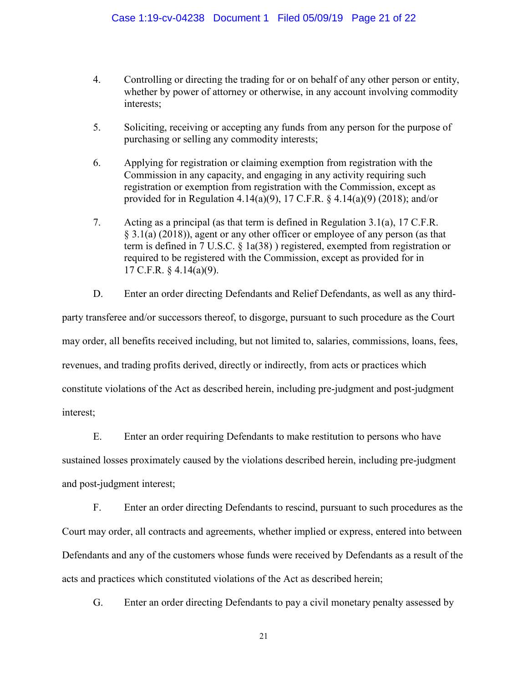- 4. Controlling or directing the trading for or on behalf of any other person or entity, whether by power of attorney or otherwise, in any account involving commodity interests;
- 5. Soliciting, receiving or accepting any funds from any person for the purpose of purchasing or selling any commodity interests;
- 6. Applying for registration or claiming exemption from registration with the Commission in any capacity, and engaging in any activity requiring such registration or exemption from registration with the Commission, except as provided for in Regulation 4.14(a)(9), 17 C.F.R. § 4.14(a)(9) (2018); and/or
- 7. Acting as a principal (as that term is defined in Regulation 3.1(a), 17 C.F.R.  $\S$  3.1(a) (2018)), agent or any other officer or employee of any person (as that term is defined in 7 U.S.C. § 1a(38) ) registered, exempted from registration or required to be registered with the Commission, except as provided for in 17 C.F.R. § 4.14(a)(9).
- D. Enter an order directing Defendants and Relief Defendants, as well as any third-

party transferee and/or successors thereof, to disgorge, pursuant to such procedure as the Court may order, all benefits received including, but not limited to, salaries, commissions, loans, fees, revenues, and trading profits derived, directly or indirectly, from acts or practices which constitute violations of the Act as described herein, including pre-judgment and post-judgment interest;

E. Enter an order requiring Defendants to make restitution to persons who have sustained losses proximately caused by the violations described herein, including pre-judgment and post-judgment interest;

F. Enter an order directing Defendants to rescind, pursuant to such procedures as the Court may order, all contracts and agreements, whether implied or express, entered into between Defendants and any of the customers whose funds were received by Defendants as a result of the acts and practices which constituted violations of the Act as described herein;

G. Enter an order directing Defendants to pay a civil monetary penalty assessed by